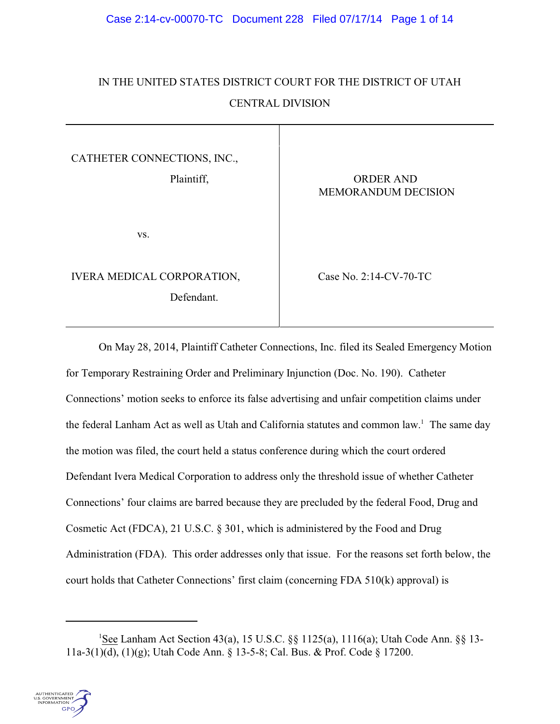# IN THE UNITED STATES DISTRICT COURT FOR THE DISTRICT OF UTAH CENTRAL DIVISION

CATHETER CONNECTIONS, INC.,

Plaintiff,  $\qquad \qquad \qquad$  ORDER AND

vs.

IVERA MEDICAL CORPORATION, Case No. 2:14-CV-70-TC Defendant.

MEMORANDUM DECISION

On May 28, 2014, Plaintiff Catheter Connections, Inc. filed its Sealed Emergency Motion for Temporary Restraining Order and Preliminary Injunction (Doc. No. 190). Catheter Connections' motion seeks to enforce its false advertising and unfair competition claims under the federal Lanham Act as well as Utah and California statutes and common law.<sup>1</sup> The same day the motion was filed, the court held a status conference during which the court ordered Defendant Ivera Medical Corporation to address only the threshold issue of whether Catheter Connections' four claims are barred because they are precluded by the federal Food, Drug and Cosmetic Act (FDCA), 21 U.S.C. § 301, which is administered by the Food and Drug Administration (FDA). This order addresses only that issue. For the reasons set forth below, the court holds that Catheter Connections' first claim (concerning FDA 510(k) approval) is

See Lanham Act Section 43(a), 15 U.S.C. §§ 1125(a), 1116(a); Utah Code Ann. §§ 13- <sup>1</sup> 11a-3(1)(d), (1)(g); Utah Code Ann. § 13-5-8; Cal. Bus. & Prof. Code § 17200.

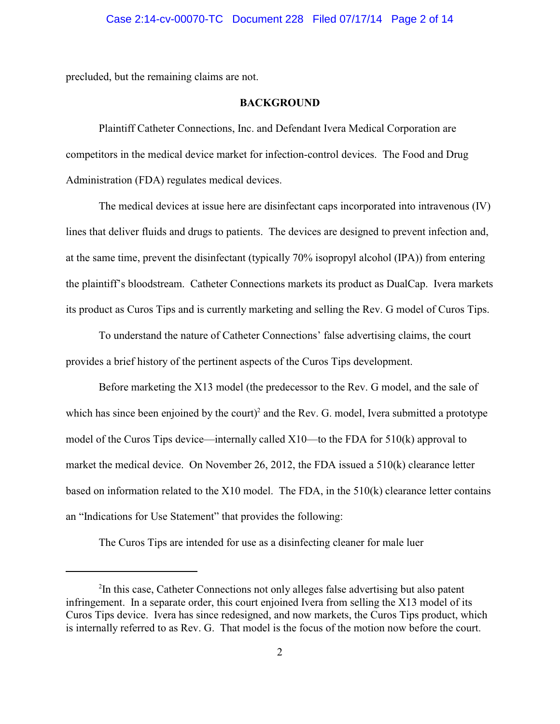precluded, but the remaining claims are not.

#### **BACKGROUND**

Plaintiff Catheter Connections, Inc. and Defendant Ivera Medical Corporation are competitors in the medical device market for infection-control devices. The Food and Drug Administration (FDA) regulates medical devices.

The medical devices at issue here are disinfectant caps incorporated into intravenous (IV) lines that deliver fluids and drugs to patients. The devices are designed to prevent infection and, at the same time, prevent the disinfectant (typically 70% isopropyl alcohol (IPA)) from entering the plaintiff's bloodstream. Catheter Connections markets its product as DualCap. Ivera markets its product as Curos Tips and is currently marketing and selling the Rev. G model of Curos Tips.

To understand the nature of Catheter Connections' false advertising claims, the court provides a brief history of the pertinent aspects of the Curos Tips development.

Before marketing the X13 model (the predecessor to the Rev. G model, and the sale of which has since been enjoined by the court)<sup>2</sup> and the Rev. G. model, Ivera submitted a prototype model of the Curos Tips device—internally called  $X10$ —to the FDA for 510(k) approval to market the medical device. On November 26, 2012, the FDA issued a 510(k) clearance letter based on information related to the X10 model. The FDA, in the 510(k) clearance letter contains an "Indications for Use Statement" that provides the following:

The Curos Tips are intended for use as a disinfecting cleaner for male luer

<sup>&</sup>lt;sup>2</sup>In this case, Catheter Connections not only alleges false advertising but also patent infringement. In a separate order, this court enjoined Ivera from selling the X13 model of its Curos Tips device. Ivera has since redesigned, and now markets, the Curos Tips product, which is internally referred to as Rev. G. That model is the focus of the motion now before the court.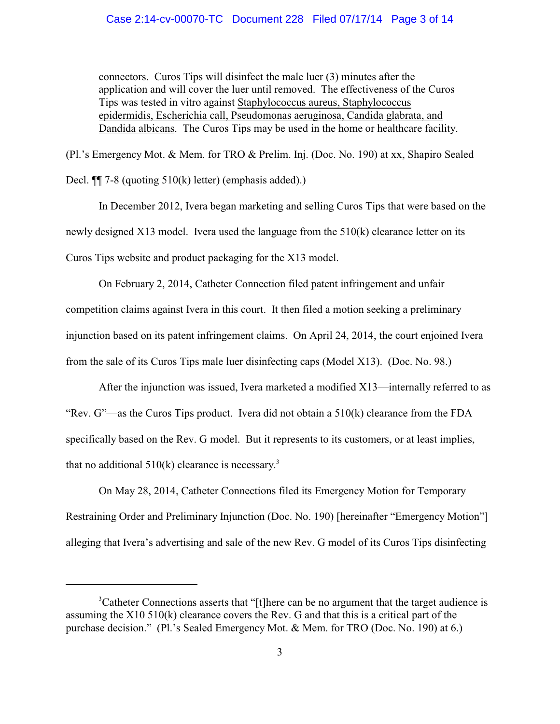# Case 2:14-cv-00070-TC Document 228 Filed 07/17/14 Page 3 of 14

connectors. Curos Tips will disinfect the male luer (3) minutes after the application and will cover the luer until removed. The effectiveness of the Curos Tips was tested in vitro against Staphylococcus aureus, Staphylococcus epidermidis, Escherichia call, Pseudomonas aeruginosa, Candida glabrata, and Dandida albicans. The Curos Tips may be used in the home or healthcare facility.

(Pl.'s Emergency Mot. & Mem. for TRO & Prelim. Inj. (Doc. No. 190) at xx, Shapiro Sealed

Decl. ¶¶ 7-8 (quoting 510(k) letter) (emphasis added).)

In December 2012, Ivera began marketing and selling Curos Tips that were based on the newly designed X13 model. Ivera used the language from the 510(k) clearance letter on its Curos Tips website and product packaging for the X13 model.

On February 2, 2014, Catheter Connection filed patent infringement and unfair competition claims against Ivera in this court. It then filed a motion seeking a preliminary injunction based on its patent infringement claims. On April 24, 2014, the court enjoined Ivera from the sale of its Curos Tips male luer disinfecting caps (Model X13). (Doc. No. 98.)

After the injunction was issued, Ivera marketed a modified X13—internally referred to as "Rev. G"—as the Curos Tips product. Ivera did not obtain a 510(k) clearance from the FDA specifically based on the Rev. G model. But it represents to its customers, or at least implies, that no additional  $510(k)$  clearance is necessary.<sup>3</sup>

On May 28, 2014, Catheter Connections filed its Emergency Motion for Temporary Restraining Order and Preliminary Injunction (Doc. No. 190) [hereinafter "Emergency Motion"] alleging that Ivera's advertising and sale of the new Rev. G model of its Curos Tips disinfecting

<sup>&</sup>lt;sup>3</sup>Catheter Connections asserts that "[t]here can be no argument that the target audience is assuming the X10 510(k) clearance covers the Rev. G and that this is a critical part of the purchase decision." (Pl.'s Sealed Emergency Mot. & Mem. for TRO (Doc. No. 190) at 6.)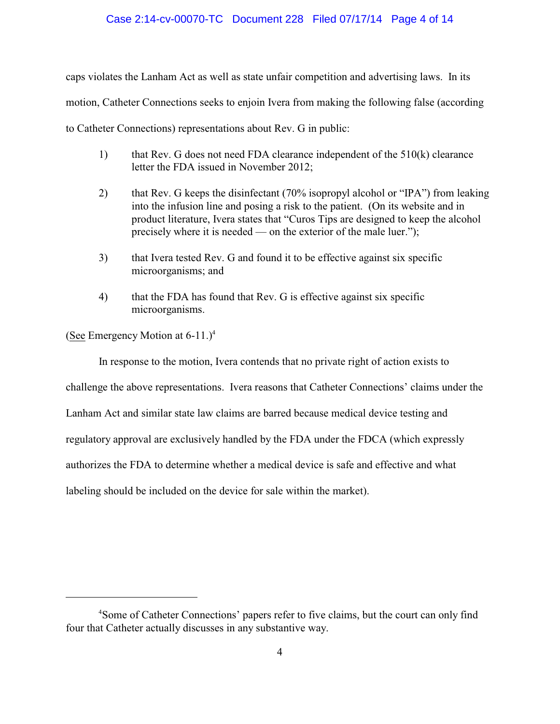# Case 2:14-cv-00070-TC Document 228 Filed 07/17/14 Page 4 of 14

caps violates the Lanham Act as well as state unfair competition and advertising laws. In its

motion, Catheter Connections seeks to enjoin Ivera from making the following false (according

to Catheter Connections) representations about Rev. G in public:

- 1) that Rev. G does not need FDA clearance independent of the 510(k) clearance letter the FDA issued in November 2012;
- 2) that Rev. G keeps the disinfectant (70% isopropyl alcohol or "IPA") from leaking into the infusion line and posing a risk to the patient. (On its website and in product literature, Ivera states that "Curos Tips are designed to keep the alcohol precisely where it is needed — on the exterior of the male luer.");
- 3) that Ivera tested Rev. G and found it to be effective against six specific microorganisms; and
- 4) that the FDA has found that Rev. G is effective against six specific microorganisms.

(See Emergency Motion at  $6-11.$ )<sup>4</sup>

In response to the motion, Ivera contends that no private right of action exists to

challenge the above representations. Ivera reasons that Catheter Connections' claims under the

Lanham Act and similar state law claims are barred because medical device testing and

regulatory approval are exclusively handled by the FDA under the FDCA (which expressly

authorizes the FDA to determine whether a medical device is safe and effective and what

labeling should be included on the device for sale within the market).

<sup>&</sup>lt;sup>4</sup>Some of Catheter Connections' papers refer to five claims, but the court can only find four that Catheter actually discusses in any substantive way.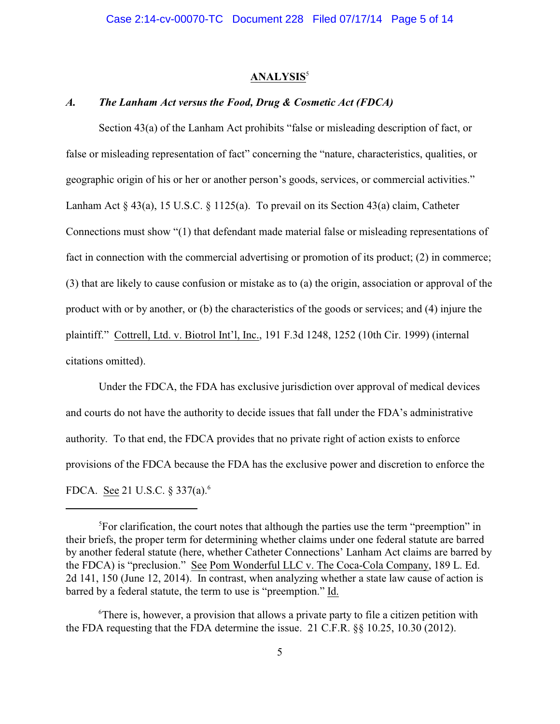#### **ANALYSIS**<sup>5</sup>

# *A. The Lanham Act versus the Food, Drug & Cosmetic Act (FDCA)*

Section 43(a) of the Lanham Act prohibits "false or misleading description of fact, or false or misleading representation of fact" concerning the "nature, characteristics, qualities, or geographic origin of his or her or another person's goods, services, or commercial activities." Lanham Act  $\S$  43(a), 15 U.S.C.  $\S$  1125(a). To prevail on its Section 43(a) claim, Catheter Connections must show "(1) that defendant made material false or misleading representations of fact in connection with the commercial advertising or promotion of its product; (2) in commerce; (3) that are likely to cause confusion or mistake as to (a) the origin, association or approval of the product with or by another, or (b) the characteristics of the goods or services; and (4) injure the plaintiff." Cottrell, Ltd. v. Biotrol Int'l, Inc., 191 F.3d 1248, 1252 (10th Cir. 1999) (internal citations omitted).

Under the FDCA, the FDA has exclusive jurisdiction over approval of medical devices and courts do not have the authority to decide issues that fall under the FDA's administrative authority. To that end, the FDCA provides that no private right of action exists to enforce provisions of the FDCA because the FDA has the exclusive power and discretion to enforce the FDCA. See 21 U.S.C. § 337(a).<sup>6</sup>

 ${}^{5}$ For clarification, the court notes that although the parties use the term "preemption" in their briefs, the proper term for determining whether claims under one federal statute are barred by another federal statute (here, whether Catheter Connections' Lanham Act claims are barred by the FDCA) is "preclusion." See Pom Wonderful LLC v. The Coca-Cola Company, 189 L. Ed. 2d 141, 150 (June 12, 2014). In contrast, when analyzing whether a state law cause of action is barred by a federal statute, the term to use is "preemption." Id.

 $\sigma$ <sup>6</sup>There is, however, a provision that allows a private party to file a citizen petition with the FDA requesting that the FDA determine the issue. 21 C.F.R. §§ 10.25, 10.30 (2012).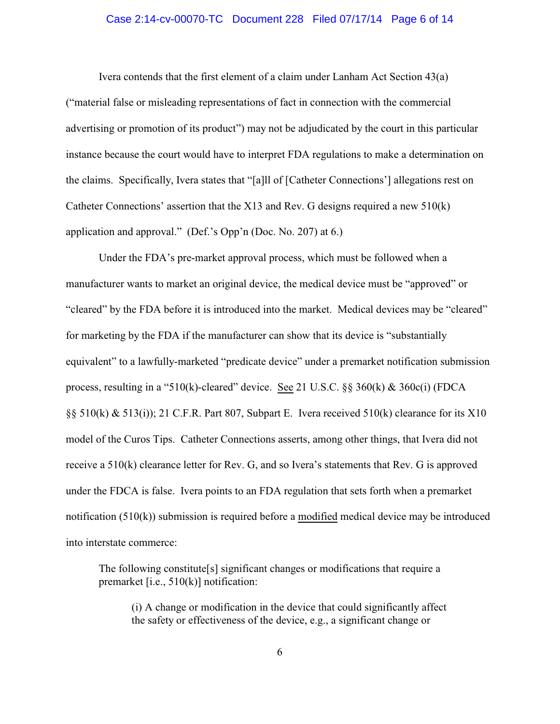#### Case 2:14-cv-00070-TC Document 228 Filed 07/17/14 Page 6 of 14

Ivera contends that the first element of a claim under Lanham Act Section 43(a) ("material false or misleading representations of fact in connection with the commercial advertising or promotion of its product") may not be adjudicated by the court in this particular instance because the court would have to interpret FDA regulations to make a determination on the claims. Specifically, Ivera states that "[a]ll of [Catheter Connections'] allegations rest on Catheter Connections' assertion that the X13 and Rev. G designs required a new 510(k) application and approval." (Def.'s Opp'n (Doc. No. 207) at 6.)

Under the FDA's pre-market approval process, which must be followed when a manufacturer wants to market an original device, the medical device must be "approved" or "cleared" by the FDA before it is introduced into the market. Medical devices may be "cleared" for marketing by the FDA if the manufacturer can show that its device is "substantially equivalent" to a lawfully-marketed "predicate device" under a premarket notification submission process, resulting in a "510(k)-cleared" device. See 21 U.S.C. §§ 360(k) & 360c(i) (FDCA §§ 510(k) & 513(i)); 21 C.F.R. Part 807, Subpart E. Ivera received 510(k) clearance for its X10 model of the Curos Tips. Catheter Connections asserts, among other things, that Ivera did not receive a 510(k) clearance letter for Rev. G, and so Ivera's statements that Rev. G is approved under the FDCA is false. Ivera points to an FDA regulation that sets forth when a premarket notification (510(k)) submission is required before a modified medical device may be introduced into interstate commerce:

The following constitute[s] significant changes or modifications that require a premarket [i.e., 510(k)] notification:

(i) A change or modification in the device that could significantly affect the safety or effectiveness of the device, e.g., a significant change or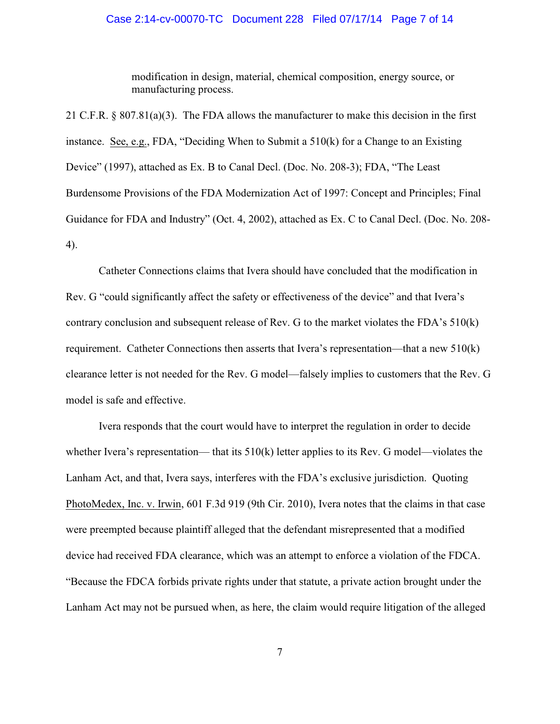#### Case 2:14-cv-00070-TC Document 228 Filed 07/17/14 Page 7 of 14

modification in design, material, chemical composition, energy source, or manufacturing process.

21 C.F.R. § 807.81(a)(3). The FDA allows the manufacturer to make this decision in the first instance. See, e.g., FDA, "Deciding When to Submit a 510(k) for a Change to an Existing Device" (1997), attached as Ex. B to Canal Decl. (Doc. No. 208-3); FDA, "The Least Burdensome Provisions of the FDA Modernization Act of 1997: Concept and Principles; Final Guidance for FDA and Industry" (Oct. 4, 2002), attached as Ex. C to Canal Decl. (Doc. No. 208- 4).

Catheter Connections claims that Ivera should have concluded that the modification in Rev. G "could significantly affect the safety or effectiveness of the device" and that Ivera's contrary conclusion and subsequent release of Rev. G to the market violates the FDA's 510(k) requirement. Catheter Connections then asserts that Ivera's representation—that a new 510(k) clearance letter is not needed for the Rev. G model—falsely implies to customers that the Rev. G model is safe and effective.

Ivera responds that the court would have to interpret the regulation in order to decide whether Ivera's representation— that its 510(k) letter applies to its Rev. G model—violates the Lanham Act, and that, Ivera says, interferes with the FDA's exclusive jurisdiction. Quoting PhotoMedex, Inc. v. Irwin, 601 F.3d 919 (9th Cir. 2010), Ivera notes that the claims in that case were preempted because plaintiff alleged that the defendant misrepresented that a modified device had received FDA clearance, which was an attempt to enforce a violation of the FDCA. "Because the FDCA forbids private rights under that statute, a private action brought under the Lanham Act may not be pursued when, as here, the claim would require litigation of the alleged

7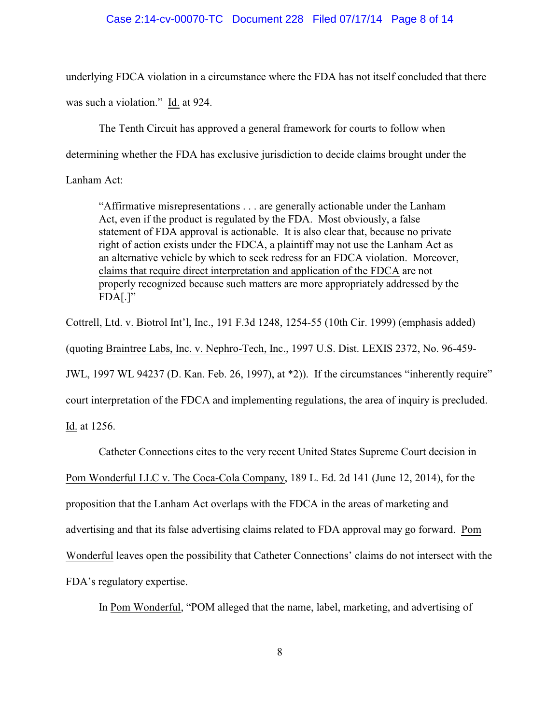# Case 2:14-cv-00070-TC Document 228 Filed 07/17/14 Page 8 of 14

underlying FDCA violation in a circumstance where the FDA has not itself concluded that there was such a violation." Id. at 924.

The Tenth Circuit has approved a general framework for courts to follow when determining whether the FDA has exclusive jurisdiction to decide claims brought under the

Lanham Act:

"Affirmative misrepresentations . . . are generally actionable under the Lanham Act, even if the product is regulated by the FDA. Most obviously, a false statement of FDA approval is actionable. It is also clear that, because no private right of action exists under the FDCA, a plaintiff may not use the Lanham Act as an alternative vehicle by which to seek redress for an FDCA violation. Moreover, claims that require direct interpretation and application of the FDCA are not properly recognized because such matters are more appropriately addressed by the  $FDA[.]"$ 

Cottrell, Ltd. v. Biotrol Int'l, Inc., 191 F.3d 1248, 1254-55 (10th Cir. 1999) (emphasis added)

(quoting Braintree Labs, Inc. v. Nephro-Tech, Inc., 1997 U.S. Dist. LEXIS 2372, No. 96-459-

JWL, 1997 WL 94237 (D. Kan. Feb. 26, 1997), at \*2)). If the circumstances "inherently require"

court interpretation of the FDCA and implementing regulations, the area of inquiry is precluded.

Id. at 1256.

Catheter Connections cites to the very recent United States Supreme Court decision in

Pom Wonderful LLC v. The Coca-Cola Company, 189 L. Ed. 2d 141 (June 12, 2014), for the

proposition that the Lanham Act overlaps with the FDCA in the areas of marketing and

advertising and that its false advertising claims related to FDA approval may go forward. Pom

Wonderful leaves open the possibility that Catheter Connections' claims do not intersect with the

FDA's regulatory expertise.

In Pom Wonderful, "POM alleged that the name, label, marketing, and advertising of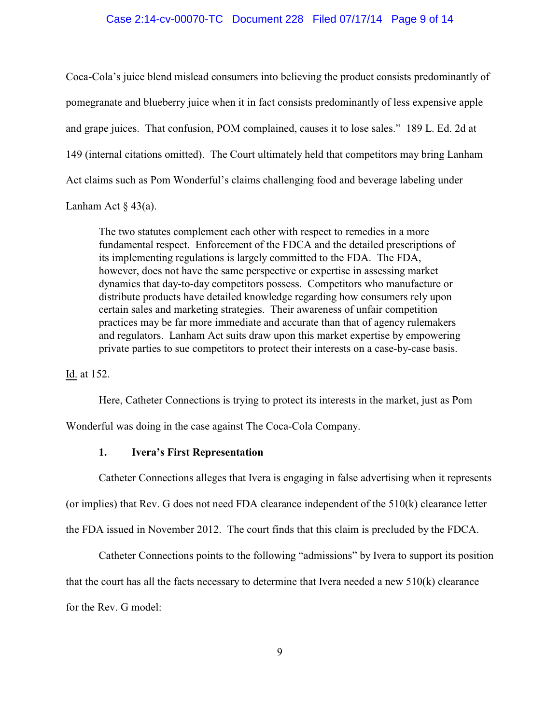#### Case 2:14-cv-00070-TC Document 228 Filed 07/17/14 Page 9 of 14

Coca-Cola's juice blend mislead consumers into believing the product consists predominantly of pomegranate and blueberry juice when it in fact consists predominantly of less expensive apple and grape juices. That confusion, POM complained, causes it to lose sales." 189 L. Ed. 2d at 149 (internal citations omitted). The Court ultimately held that competitors may bring Lanham Act claims such as Pom Wonderful's claims challenging food and beverage labeling under Lanham Act  $\S$  43(a).

The two statutes complement each other with respect to remedies in a more fundamental respect. Enforcement of the FDCA and the detailed prescriptions of its implementing regulations is largely committed to the FDA. The FDA, however, does not have the same perspective or expertise in assessing market dynamics that day-to-day competitors possess. Competitors who manufacture or distribute products have detailed knowledge regarding how consumers rely upon certain sales and marketing strategies. Their awareness of unfair competition practices may be far more immediate and accurate than that of agency rulemakers and regulators. Lanham Act suits draw upon this market expertise by empowering private parties to sue competitors to protect their interests on a case-by-case basis.

Id. at 152.

Here, Catheter Connections is trying to protect its interests in the market, just as Pom

Wonderful was doing in the case against The Coca-Cola Company.

### **1. Ivera's First Representation**

Catheter Connections alleges that Ivera is engaging in false advertising when it represents

(or implies) that Rev. G does not need FDA clearance independent of the  $510(k)$  clearance letter

the FDA issued in November 2012. The court finds that this claim is precluded by the FDCA.

Catheter Connections points to the following "admissions" by Ivera to support its position that the court has all the facts necessary to determine that Ivera needed a new 510(k) clearance for the Rev. G model: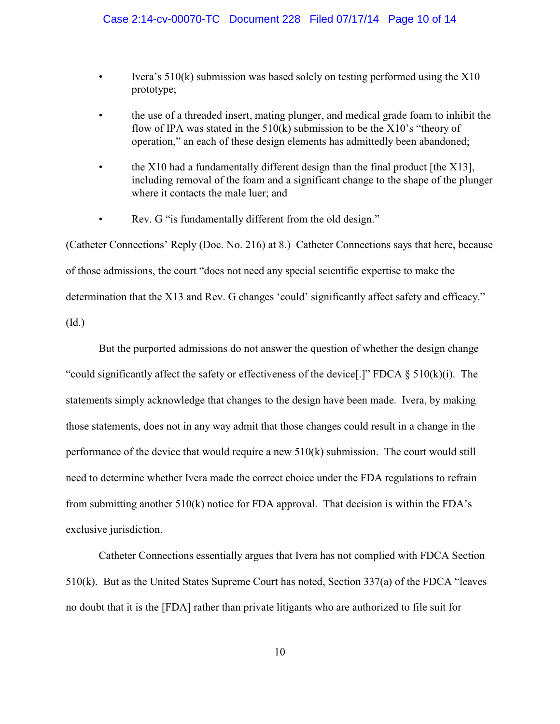- Ivera's  $510(k)$  submission was based solely on testing performed using the  $X10$ prototype;
- the use of a threaded insert, mating plunger, and medical grade foam to inhibit the flow of IPA was stated in the  $510(k)$  submission to be the  $X10$ 's "theory of operation," an each of these design elements has admittedly been abandoned;
- the  $X10$  had a fundamentally different design than the final product [the  $X13$ ], including removal of the foam and a significant change to the shape of the plunger where it contacts the male luer; and
- Rev. G "is fundamentally different from the old design."

(Catheter Connections' Reply (Doc. No. 216) at 8.) Catheter Connections says that here, because of those admissions, the court "does not need any special scientific expertise to make the determination that the X13 and Rev. G changes 'could' significantly affect safety and efficacy." (Id.)

But the purported admissions do not answer the question of whether the design change "could significantly affect the safety or effectiveness of the device[.]" FDCA  $\S$  510(k)(i). The statements simply acknowledge that changes to the design have been made. Ivera, by making those statements, does not in any way admit that those changes could result in a change in the performance of the device that would require a new 510(k) submission. The court would still need to determine whether Ivera made the correct choice under the FDA regulations to refrain from submitting another 510(k) notice for FDA approval. That decision is within the FDA's exclusive jurisdiction.

Catheter Connections essentially argues that Ivera has not complied with FDCA Section 510(k). But as the United States Supreme Court has noted, Section 337(a) of the FDCA "leaves no doubt that it is the [FDA] rather than private litigants who are authorized to file suit for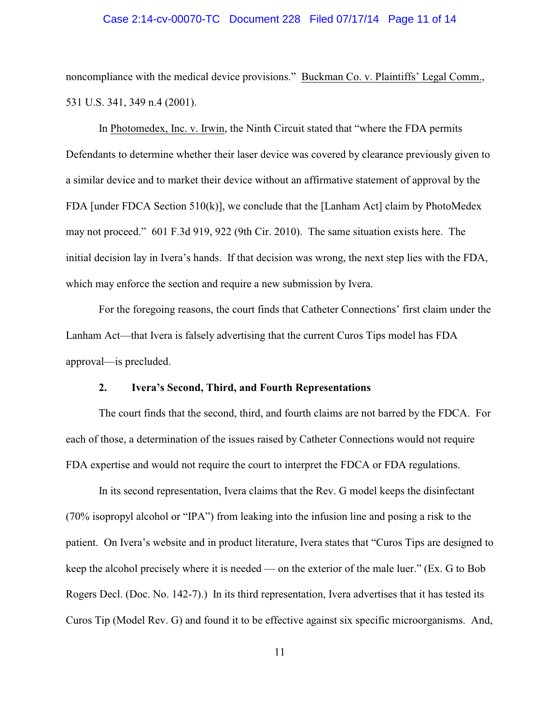#### Case 2:14-cv-00070-TC Document 228 Filed 07/17/14 Page 11 of 14

noncompliance with the medical device provisions." Buckman Co. v. Plaintiffs' Legal Comm., 531 U.S. 341, 349 n.4 (2001).

In Photomedex, Inc. v. Irwin, the Ninth Circuit stated that "where the FDA permits Defendants to determine whether their laser device was covered by clearance previously given to a similar device and to market their device without an affirmative statement of approval by the FDA [under FDCA Section 510(k)], we conclude that the [Lanham Act] claim by PhotoMedex may not proceed." 601 F.3d 919, 922 (9th Cir. 2010). The same situation exists here. The initial decision lay in Ivera's hands. If that decision was wrong, the next step lies with the FDA, which may enforce the section and require a new submission by Ivera.

For the foregoing reasons, the court finds that Catheter Connections' first claim under the Lanham Act—that Ivera is falsely advertising that the current Curos Tips model has FDA approval—is precluded.

### **2. Ivera's Second, Third, and Fourth Representations**

The court finds that the second, third, and fourth claims are not barred by the FDCA. For each of those, a determination of the issues raised by Catheter Connections would not require FDA expertise and would not require the court to interpret the FDCA or FDA regulations.

In its second representation, Ivera claims that the Rev. G model keeps the disinfectant (70% isopropyl alcohol or "IPA") from leaking into the infusion line and posing a risk to the patient. On Ivera's website and in product literature, Ivera states that "Curos Tips are designed to keep the alcohol precisely where it is needed — on the exterior of the male luer." (Ex. G to Bob Rogers Decl. (Doc. No. 142-7).) In its third representation, Ivera advertises that it has tested its Curos Tip (Model Rev. G) and found it to be effective against six specific microorganisms. And,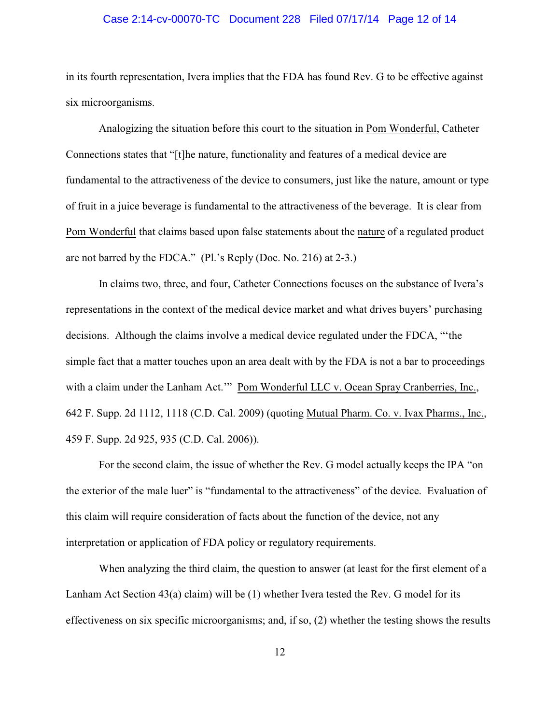#### Case 2:14-cv-00070-TC Document 228 Filed 07/17/14 Page 12 of 14

in its fourth representation, Ivera implies that the FDA has found Rev. G to be effective against six microorganisms.

Analogizing the situation before this court to the situation in Pom Wonderful, Catheter Connections states that "[t]he nature, functionality and features of a medical device are fundamental to the attractiveness of the device to consumers, just like the nature, amount or type of fruit in a juice beverage is fundamental to the attractiveness of the beverage. It is clear from Pom Wonderful that claims based upon false statements about the nature of a regulated product are not barred by the FDCA." (Pl.'s Reply (Doc. No. 216) at 2-3.)

In claims two, three, and four, Catheter Connections focuses on the substance of Ivera's representations in the context of the medical device market and what drives buyers' purchasing decisions. Although the claims involve a medical device regulated under the FDCA, "'the simple fact that a matter touches upon an area dealt with by the FDA is not a bar to proceedings with a claim under the Lanham Act.'" Pom Wonderful LLC v. Ocean Spray Cranberries, Inc., 642 F. Supp. 2d 1112, 1118 (C.D. Cal. 2009) (quoting Mutual Pharm. Co. v. Ivax Pharms., Inc., 459 F. Supp. 2d 925, 935 (C.D. Cal. 2006)).

For the second claim, the issue of whether the Rev. G model actually keeps the IPA "on the exterior of the male luer" is "fundamental to the attractiveness" of the device. Evaluation of this claim will require consideration of facts about the function of the device, not any interpretation or application of FDA policy or regulatory requirements.

When analyzing the third claim, the question to answer (at least for the first element of a Lanham Act Section 43(a) claim) will be (1) whether Ivera tested the Rev. G model for its effectiveness on six specific microorganisms; and, if so, (2) whether the testing shows the results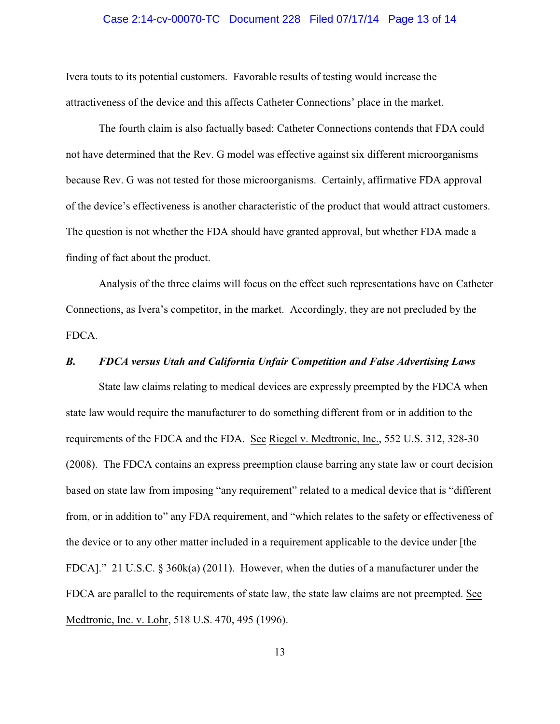#### Case 2:14-cv-00070-TC Document 228 Filed 07/17/14 Page 13 of 14

Ivera touts to its potential customers. Favorable results of testing would increase the attractiveness of the device and this affects Catheter Connections' place in the market.

The fourth claim is also factually based: Catheter Connections contends that FDA could not have determined that the Rev. G model was effective against six different microorganisms because Rev. G was not tested for those microorganisms. Certainly, affirmative FDA approval of the device's effectiveness is another characteristic of the product that would attract customers. The question is not whether the FDA should have granted approval, but whether FDA made a finding of fact about the product.

Analysis of the three claims will focus on the effect such representations have on Catheter Connections, as Ivera's competitor, in the market. Accordingly, they are not precluded by the FDCA.

# *B. FDCA versus Utah and California Unfair Competition and False Advertising Laws*

State law claims relating to medical devices are expressly preempted by the FDCA when state law would require the manufacturer to do something different from or in addition to the requirements of the FDCA and the FDA. See Riegel v. Medtronic, Inc., 552 U.S. 312, 328-30 (2008). The FDCA contains an express preemption clause barring any state law or court decision based on state law from imposing "any requirement" related to a medical device that is "different from, or in addition to" any FDA requirement, and "which relates to the safety or effectiveness of the device or to any other matter included in a requirement applicable to the device under [the FDCA]." 21 U.S.C. § 360k(a) (2011). However, when the duties of a manufacturer under the FDCA are parallel to the requirements of state law, the state law claims are not preempted. See Medtronic, Inc. v. Lohr, 518 U.S. 470, 495 (1996).